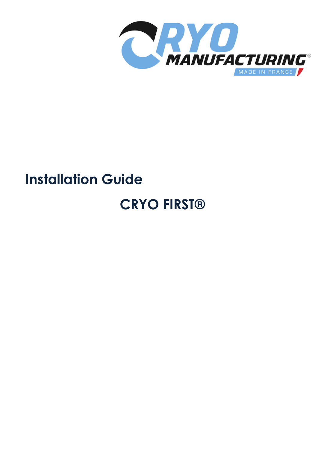

# **Installation Guide CRYO FIRST®**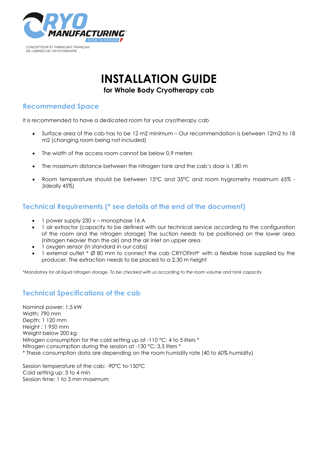

# **INSTALLATION GUIDE**

**for Whole Body Cryotherapy cab**

# **Recommended Space**

It is recommended to have a dedicated room for your cryotherapy cab

- Surface area of the cab has to be 12 m2 minimum Our recommendation is between 12m2 to 18 m2 (changing room being not included)
- The width of the access room cannot be below 0.9 meters
- The maximum distance between the nitrogen tank and the cab's door is 1,80 m
- Room temperature should be between 15°C and 35°C and room hygrometry maximum 65% (Ideally 45%)

### **Technical Requirements (\* see details at the end of the document)**

- 1 power supply 230 v monophase 16 A
- 1 air extractor (capacity to be defined with our technical service according to the configuration of the room and the nitrogen storage) The suction needs to be positioned on the lower area (nitrogen heavier than the air) and the air inlet on upper area
- 1 oxygen sensor (in standard in our cabs)
- 1 external outlet \* Ø 80 mm to connect the cab CRYOFirst®' with a flexible hose supplied by the producer. The extraction needs to be placed to a 2,30 m height

*\*Mandatory for all liquid nitrogen storage. To be checked with us according to the room volume and tank capacity*

# **Technical Specifications of the cab**

Nominal power: 1,5 kW Width: 790 mm Depth: 1 120 mm Height : 1 950 mm Weight below 200 kg Nitrogen consumption for the cold setting up at -110 °C: 4 to 5 liters \* Nitrogen consumption during the session at -130 °C: 3,5 liters \* \* These consumption data are depending on the room humidity rate (40 to 60% humidity)

Session temperature of the cab: -90°C to-150°C Cold setting up: 3 to 4 min Session time: 1 to 3 min maximum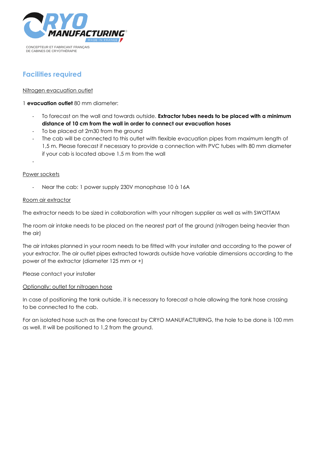

# **Facilities required**

#### Nitrogen evacuation outlet

1 **evacuation outlet** 80 mm diameter:

- To forecast on the wall and towards outside. **Extractor tubes needs to be placed with a minimum distance of 10 cm from the wall in order to connect our evacuation hoses**
- To be placed at 2m30 from the ground
- The cab will be connected to this outlet with flexible evacuation pipes from maximum length of 1,5 m. Please forecast if necessary to provide a connection with PVC tubes with 80 mm diameter if your cab is located above 1,5 m from the wall

-

#### Power sockets

- Near the cab: 1 power supply 230V monophase 10 à 16A

#### Room air extractor

The extractor needs to be sized in collaboration with your nitrogen supplier as well as with SWOTTAM

The room air intake needs to be placed on the nearest part of the ground (nitrogen being heavier than the air)

The air intakes planned in your room needs to be fitted with your installer and according to the power of your extractor. The air outlet pipes extracted towards outside have variable dimensions according to the power of the extractor (diameter 125 mm or +)

Please contact your installer

#### Optionally: outlet for nitrogen hose

In case of positioning the tank outside, it is necessary to forecast a hole allowing the tank hose crossing to be connected to the cab.

For an isolated hose such as the one forecast by CRYO MANUFACTURING, the hole to be done is 100 mm as well. It will be positioned to 1,2 from the ground.